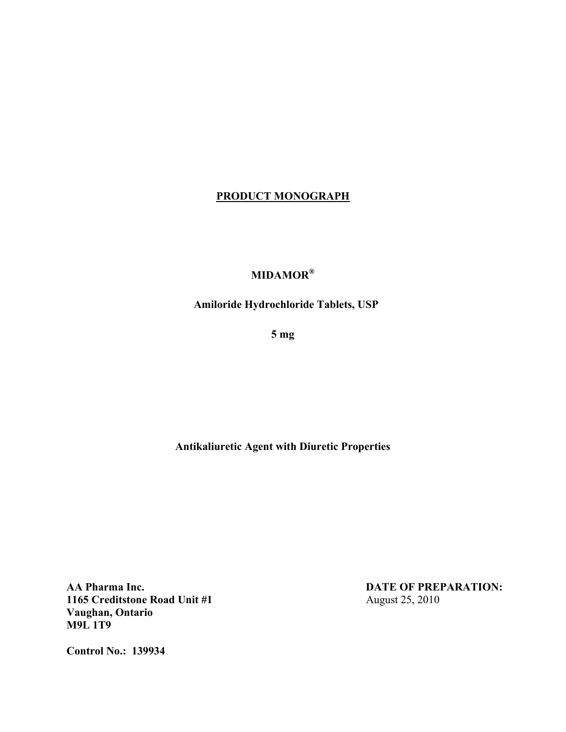## **PRODUCT MONOGRAPH**

# **MIDAMOR®**

**Amiloride Hydrochloride Tablets, USP** 

 **5 mg** 

 **Antikaliuretic Agent with Diuretic Properties** 

**AA Pharma Inc.**<br>1165 Creditstone Road Unit #1 **DATE OF PREPARATION:**<br>August 25, 2010 **1165 Creditstone Road Unit #1 Vaughan, Ontario M9L 1T9** 

**Control No.: 139934**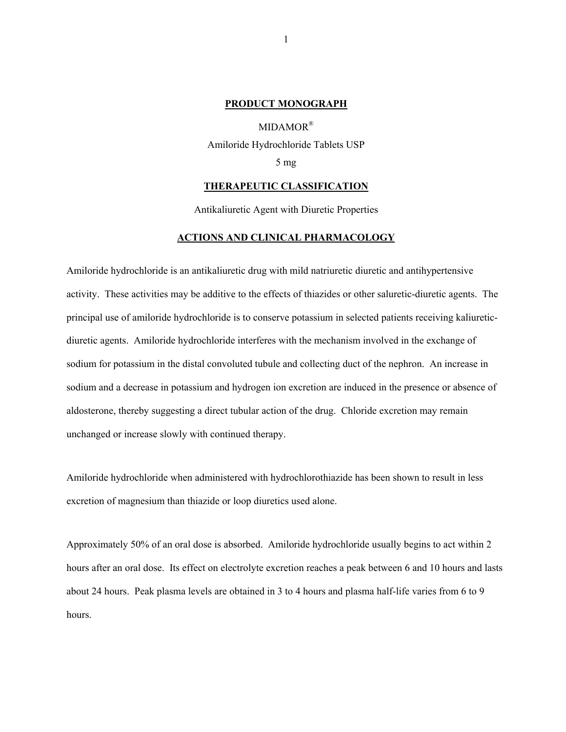#### **PRODUCT MONOGRAPH**

MIDAMOR® Amiloride Hydrochloride Tablets USP 5 mg

#### **THERAPEUTIC CLASSIFICATION**

Antikaliuretic Agent with Diuretic Properties

#### **ACTIONS AND CLINICAL PHARMACOLOGY**

Amiloride hydrochloride is an antikaliuretic drug with mild natriuretic diuretic and antihypertensive activity. These activities may be additive to the effects of thiazides or other saluretic-diuretic agents. The principal use of amiloride hydrochloride is to conserve potassium in selected patients receiving kaliureticdiuretic agents. Amiloride hydrochloride interferes with the mechanism involved in the exchange of sodium for potassium in the distal convoluted tubule and collecting duct of the nephron. An increase in sodium and a decrease in potassium and hydrogen ion excretion are induced in the presence or absence of aldosterone, thereby suggesting a direct tubular action of the drug. Chloride excretion may remain unchanged or increase slowly with continued therapy.

Amiloride hydrochloride when administered with hydrochlorothiazide has been shown to result in less excretion of magnesium than thiazide or loop diuretics used alone.

Approximately 50% of an oral dose is absorbed. Amiloride hydrochloride usually begins to act within 2 hours after an oral dose. Its effect on electrolyte excretion reaches a peak between 6 and 10 hours and lasts about 24 hours. Peak plasma levels are obtained in 3 to 4 hours and plasma half-life varies from 6 to 9 hours.

1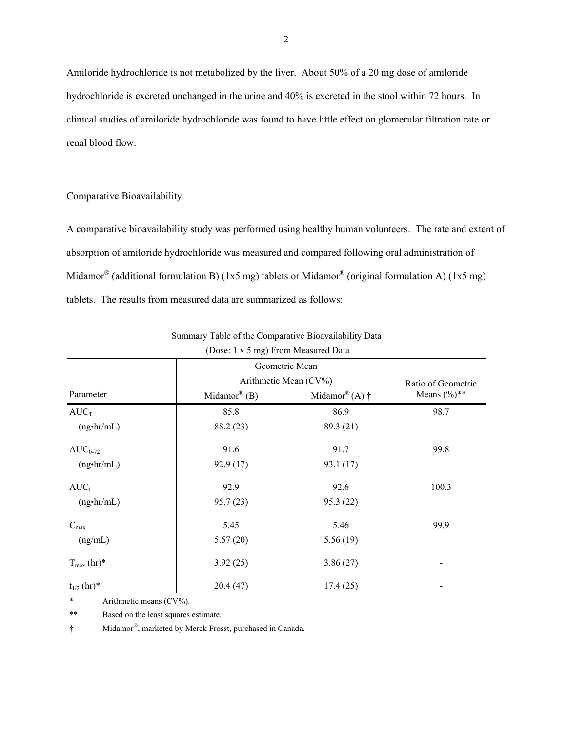Amiloride hydrochloride is not metabolized by the liver. About 50% of a 20 mg dose of amiloride hydrochloride is excreted unchanged in the urine and 40% is excreted in the stool within 72 hours. In clinical studies of amiloride hydrochloride was found to have little effect on glomerular filtration rate or renal blood flow.

#### Comparative Bioavailability

A comparative bioavailability study was performed using healthy human volunteers. The rate and extent of absorption of amiloride hydrochloride was measured and compared following oral administration of Midamor<sup>®</sup> (additional formulation B) (1x5 mg) tablets or Midamor<sup>®</sup> (original formulation A) (1x5 mg) tablets. The results from measured data are summarized as follows:

| Summary Table of the Comparative Bioavailability Data         |                                          |                    |                 |  |
|---------------------------------------------------------------|------------------------------------------|--------------------|-----------------|--|
| (Dose: 1 x 5 mg) From Measured Data                           |                                          |                    |                 |  |
|                                                               | Geometric Mean                           |                    |                 |  |
|                                                               | Arithmetic Mean (CV%)                    | Ratio of Geometric |                 |  |
| Parameter                                                     | Midamor® $(B)$<br>Midamor® (A) $\dagger$ |                    | Means $(\%)$ ** |  |
| $AUC_T$                                                       | 85.8                                     | 86.9               | 98.7            |  |
| $(ng\cdot hr/mL)$                                             | 88.2 (23)                                | 89.3 (21)          |                 |  |
| $AUC_{0-72}$                                                  | 91.6                                     | 91.7               | 99.8            |  |
| $(ng\cdot hr/mL)$                                             | 92.9 (17)                                | 93.1 (17)          |                 |  |
| $AUC_I$                                                       | 92.9                                     | 92.6               | 100.3           |  |
| $(ng\cdot hr/mL)$                                             | 95.7(23)                                 | 95.3 (22)          |                 |  |
| $C_{\hbox{\scriptsize max}}$                                  | 5.45                                     | 5.46               | 99.9            |  |
| (ng/mL)                                                       | 5.57(20)                                 | 5.56(19)           |                 |  |
| $T_{\text{max}}$ (hr)*                                        | 3.92(25)                                 | 3.86(27)           |                 |  |
| $t_{1/2}$ (hr)*                                               | 20.4(47)                                 | 17.4(25)           |                 |  |
| $\ast$<br>Arithmetic means (CV%).                             |                                          |                    |                 |  |
| $**$<br>Based on the least squares estimate.                  |                                          |                    |                 |  |
| Midamor®, marketed by Merck Frosst, purchased in Canada.<br>÷ |                                          |                    |                 |  |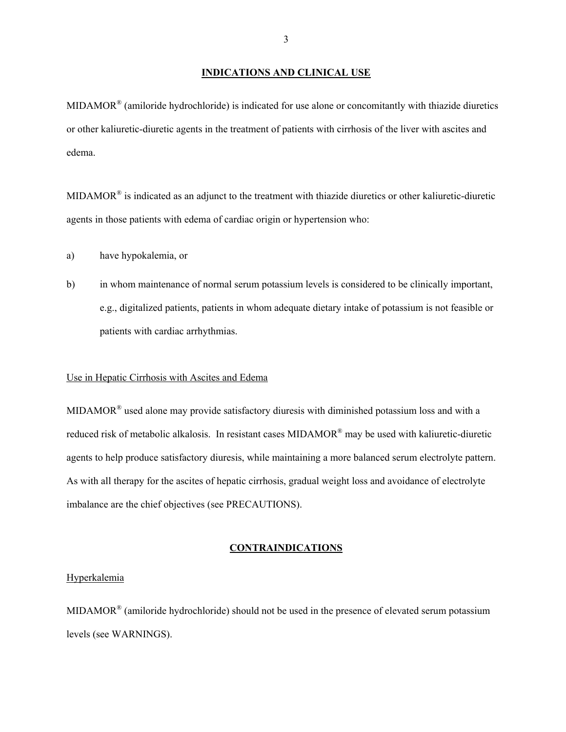#### **INDICATIONS AND CLINICAL USE**

MIDAMOR® (amiloride hydrochloride) is indicated for use alone or concomitantly with thiazide diuretics or other kaliuretic-diuretic agents in the treatment of patients with cirrhosis of the liver with ascites and edema.

MIDAMOR® is indicated as an adjunct to the treatment with thiazide diuretics or other kaliuretic-diuretic agents in those patients with edema of cardiac origin or hypertension who:

- a) have hypokalemia, or
- b) in whom maintenance of normal serum potassium levels is considered to be clinically important, e.g., digitalized patients, patients in whom adequate dietary intake of potassium is not feasible or patients with cardiac arrhythmias.

#### Use in Hepatic Cirrhosis with Ascites and Edema

MIDAMOR® used alone may provide satisfactory diuresis with diminished potassium loss and with a reduced risk of metabolic alkalosis. In resistant cases MIDAMOR<sup>®</sup> may be used with kaliuretic-diuretic agents to help produce satisfactory diuresis, while maintaining a more balanced serum electrolyte pattern. As with all therapy for the ascites of hepatic cirrhosis, gradual weight loss and avoidance of electrolyte imbalance are the chief objectives (see PRECAUTIONS).

#### **CONTRAINDICATIONS**

#### Hyperkalemia

MIDAMOR<sup>®</sup> (amiloride hydrochloride) should not be used in the presence of elevated serum potassium levels (see WARNINGS).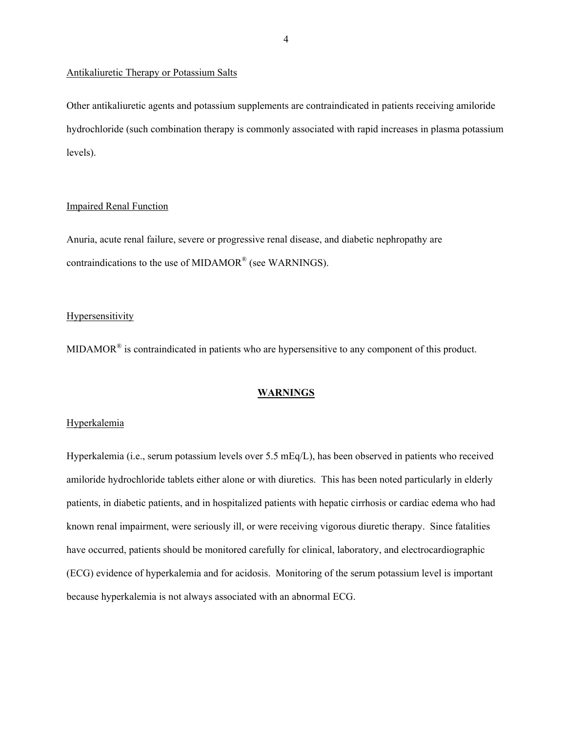#### Antikaliuretic Therapy or Potassium Salts

Other antikaliuretic agents and potassium supplements are contraindicated in patients receiving amiloride hydrochloride (such combination therapy is commonly associated with rapid increases in plasma potassium levels).

#### Impaired Renal Function

Anuria, acute renal failure, severe or progressive renal disease, and diabetic nephropathy are contraindications to the use of MIDAMOR® (see WARNINGS).

#### **Hypersensitivity**

MIDAMOR® is contraindicated in patients who are hypersensitive to any component of this product.

#### **WARNINGS**

#### Hyperkalemia

Hyperkalemia (i.e., serum potassium levels over 5.5 mEq/L), has been observed in patients who received amiloride hydrochloride tablets either alone or with diuretics. This has been noted particularly in elderly patients, in diabetic patients, and in hospitalized patients with hepatic cirrhosis or cardiac edema who had known renal impairment, were seriously ill, or were receiving vigorous diuretic therapy. Since fatalities have occurred, patients should be monitored carefully for clinical, laboratory, and electrocardiographic (ECG) evidence of hyperkalemia and for acidosis. Monitoring of the serum potassium level is important because hyperkalemia is not always associated with an abnormal ECG.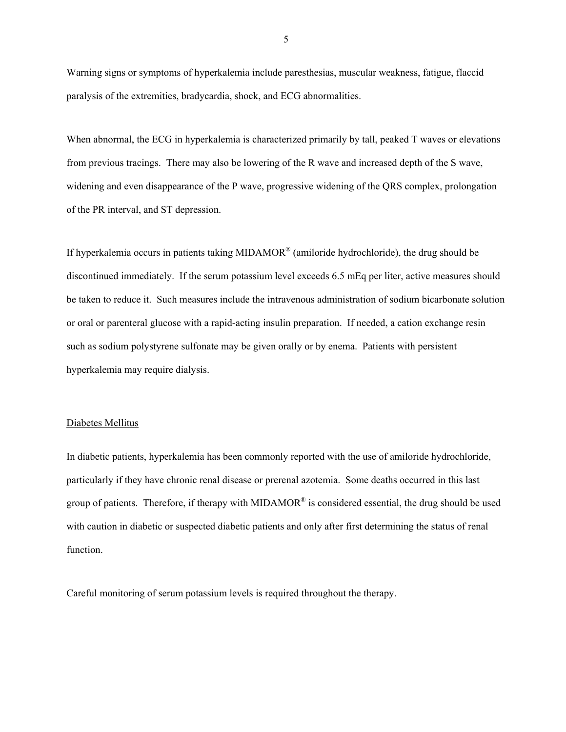Warning signs or symptoms of hyperkalemia include paresthesias, muscular weakness, fatigue, flaccid paralysis of the extremities, bradycardia, shock, and ECG abnormalities.

When abnormal, the ECG in hyperkalemia is characterized primarily by tall, peaked T waves or elevations from previous tracings. There may also be lowering of the R wave and increased depth of the S wave, widening and even disappearance of the P wave, progressive widening of the QRS complex, prolongation of the PR interval, and ST depression.

If hyperkalemia occurs in patients taking MIDAMOR® (amiloride hydrochloride), the drug should be discontinued immediately. If the serum potassium level exceeds 6.5 mEq per liter, active measures should be taken to reduce it. Such measures include the intravenous administration of sodium bicarbonate solution or oral or parenteral glucose with a rapid-acting insulin preparation. If needed, a cation exchange resin such as sodium polystyrene sulfonate may be given orally or by enema. Patients with persistent hyperkalemia may require dialysis.

#### Diabetes Mellitus

In diabetic patients, hyperkalemia has been commonly reported with the use of amiloride hydrochloride, particularly if they have chronic renal disease or prerenal azotemia. Some deaths occurred in this last group of patients. Therefore, if therapy with MIDAMOR<sup>®</sup> is considered essential, the drug should be used with caution in diabetic or suspected diabetic patients and only after first determining the status of renal function.

Careful monitoring of serum potassium levels is required throughout the therapy.

5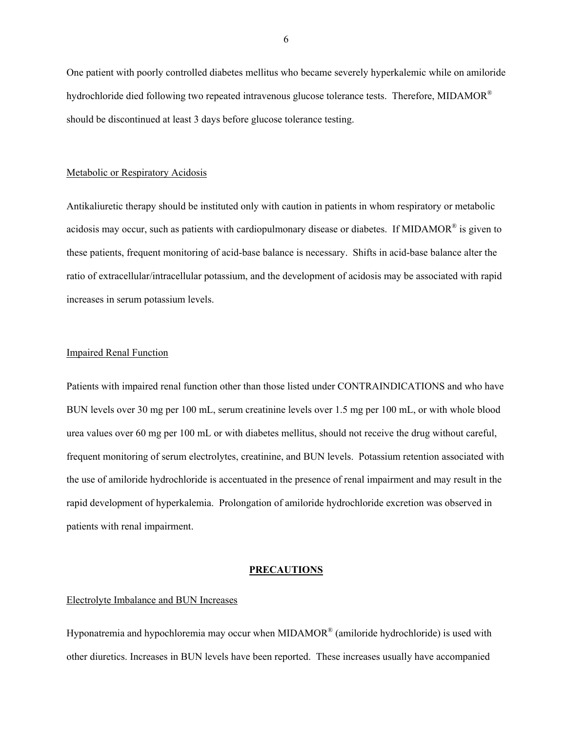One patient with poorly controlled diabetes mellitus who became severely hyperkalemic while on amiloride hydrochloride died following two repeated intravenous glucose tolerance tests. Therefore, MIDAMOR® should be discontinued at least 3 days before glucose tolerance testing.

#### Metabolic or Respiratory Acidosis

Antikaliuretic therapy should be instituted only with caution in patients in whom respiratory or metabolic acidosis may occur, such as patients with cardiopulmonary disease or diabetes. If MIDAMOR® is given to these patients, frequent monitoring of acid-base balance is necessary. Shifts in acid-base balance alter the ratio of extracellular/intracellular potassium, and the development of acidosis may be associated with rapid increases in serum potassium levels.

#### Impaired Renal Function

Patients with impaired renal function other than those listed under CONTRAINDICATIONS and who have BUN levels over 30 mg per 100 mL, serum creatinine levels over 1.5 mg per 100 mL, or with whole blood urea values over 60 mg per 100 mL or with diabetes mellitus, should not receive the drug without careful, frequent monitoring of serum electrolytes, creatinine, and BUN levels. Potassium retention associated with the use of amiloride hydrochloride is accentuated in the presence of renal impairment and may result in the rapid development of hyperkalemia. Prolongation of amiloride hydrochloride excretion was observed in patients with renal impairment.

#### **PRECAUTIONS**

#### Electrolyte Imbalance and BUN Increases

Hyponatremia and hypochloremia may occur when MIDAMOR<sup>®</sup> (amiloride hydrochloride) is used with other diuretics. Increases in BUN levels have been reported. These increases usually have accompanied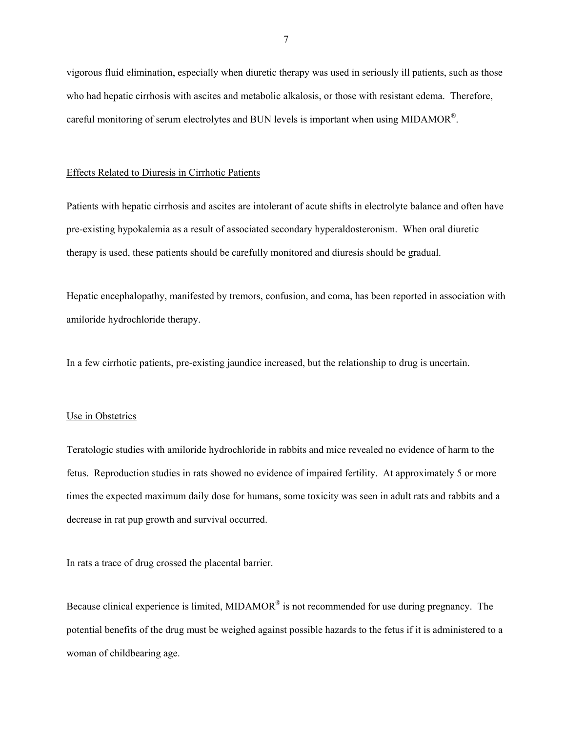vigorous fluid elimination, especially when diuretic therapy was used in seriously ill patients, such as those who had hepatic cirrhosis with ascites and metabolic alkalosis, or those with resistant edema. Therefore, careful monitoring of serum electrolytes and BUN levels is important when using MIDAMOR®.

#### Effects Related to Diuresis in Cirrhotic Patients

Patients with hepatic cirrhosis and ascites are intolerant of acute shifts in electrolyte balance and often have pre-existing hypokalemia as a result of associated secondary hyperaldosteronism. When oral diuretic therapy is used, these patients should be carefully monitored and diuresis should be gradual.

Hepatic encephalopathy, manifested by tremors, confusion, and coma, has been reported in association with amiloride hydrochloride therapy.

In a few cirrhotic patients, pre-existing jaundice increased, but the relationship to drug is uncertain.

#### Use in Obstetrics

Teratologic studies with amiloride hydrochloride in rabbits and mice revealed no evidence of harm to the fetus. Reproduction studies in rats showed no evidence of impaired fertility. At approximately 5 or more times the expected maximum daily dose for humans, some toxicity was seen in adult rats and rabbits and a decrease in rat pup growth and survival occurred.

In rats a trace of drug crossed the placental barrier.

Because clinical experience is limited, MIDAMOR<sup>®</sup> is not recommended for use during pregnancy. The potential benefits of the drug must be weighed against possible hazards to the fetus if it is administered to a woman of childbearing age.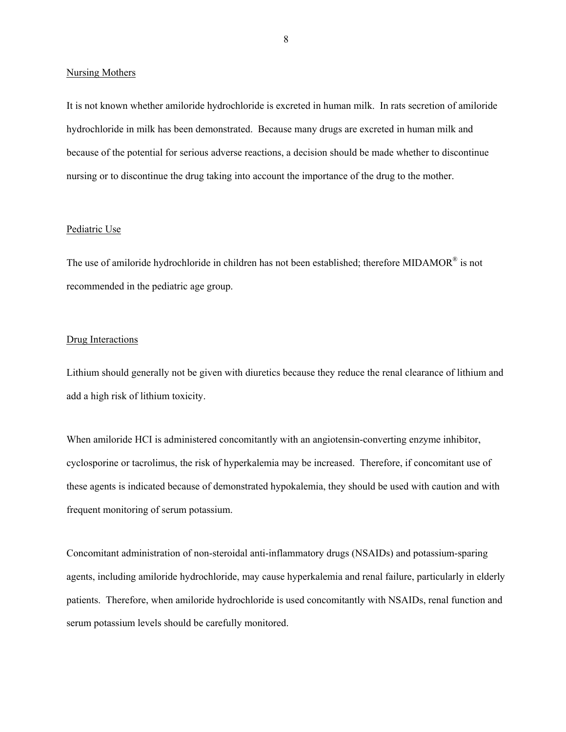#### Nursing Mothers

It is not known whether amiloride hydrochloride is excreted in human milk. In rats secretion of amiloride hydrochloride in milk has been demonstrated. Because many drugs are excreted in human milk and because of the potential for serious adverse reactions, a decision should be made whether to discontinue nursing or to discontinue the drug taking into account the importance of the drug to the mother.

#### Pediatric Use

The use of amiloride hydrochloride in children has not been established; therefore MIDAMOR® is not recommended in the pediatric age group.

#### Drug Interactions

Lithium should generally not be given with diuretics because they reduce the renal clearance of lithium and add a high risk of lithium toxicity.

When amiloride HCI is administered concomitantly with an angiotensin-converting enzyme inhibitor, cyclosporine or tacrolimus, the risk of hyperkalemia may be increased. Therefore, if concomitant use of these agents is indicated because of demonstrated hypokalemia, they should be used with caution and with frequent monitoring of serum potassium.

Concomitant administration of non-steroidal anti-inflammatory drugs (NSAIDs) and potassium-sparing agents, including amiloride hydrochloride, may cause hyperkalemia and renal failure, particularly in elderly patients. Therefore, when amiloride hydrochloride is used concomitantly with NSAIDs, renal function and serum potassium levels should be carefully monitored.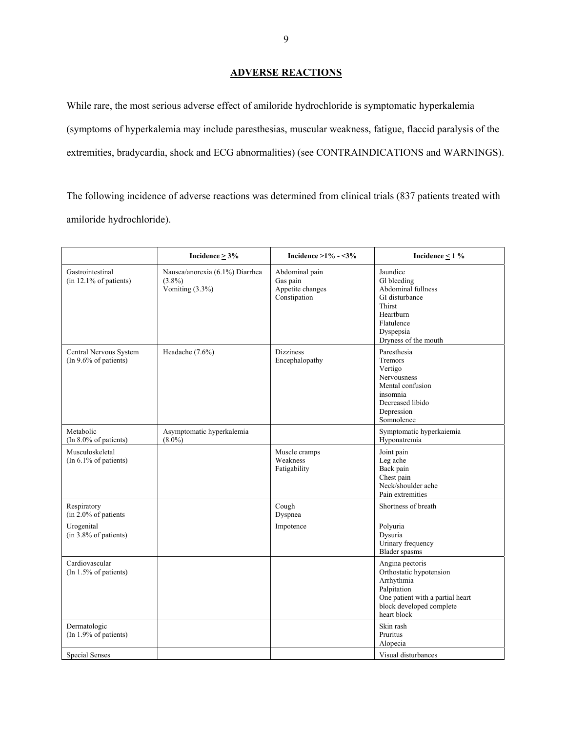## **ADVERSE REACTIONS**

While rare, the most serious adverse effect of amiloride hydrochloride is symptomatic hyperkalemia (symptoms of hyperkalemia may include paresthesias, muscular weakness, fatigue, flaccid paralysis of the extremities, bradycardia, shock and ECG abnormalities) (see CONTRAINDICATIONS and WARNINGS).

The following incidence of adverse reactions was determined from clinical trials (837 patients treated with amiloride hydrochloride).

|                                                 | Incidence $\geq 3\%$                                               | Incidence $>1\% - 3\%$                                         | Incidence $\leq$ 1 %                                                                                                                                   |
|-------------------------------------------------|--------------------------------------------------------------------|----------------------------------------------------------------|--------------------------------------------------------------------------------------------------------------------------------------------------------|
| Gastrointestinal<br>$(in 12.1\% of patients)$   | Nausea/anorexia (6.1%) Diarrhea<br>$(3.8\%)$<br>Vomiting $(3.3\%)$ | Abdominal pain<br>Gas pain<br>Appetite changes<br>Constipation | Jaundice<br>Gl bleeding<br>Abdominal fullness<br>GI disturbance<br><b>Thirst</b><br>Heartburn<br>Flatulence<br>Dyspepsia<br>Dryness of the mouth       |
| Central Nervous System<br>(In 9.6% of patients) | Headache (7.6%)                                                    | <b>Dizziness</b><br>Encephalopathy                             | Paresthesia<br>Tremors<br>Vertigo<br>Nervousness<br>Mental confusion<br>insomnia<br>Decreased libido<br>Depression<br>Somnolence                       |
| Metabolic<br>$(In 8.0\% of patients)$           | Asymptomatic hyperkalemia<br>$(8.0\%)$                             |                                                                | Symptomatic hyperkaiemia<br>Hyponatremia                                                                                                               |
| Musculoskeletal<br>$(In 6.1\% of patients)$     |                                                                    | Muscle cramps<br>Weakness<br>Fatigability                      | Joint pain<br>Leg ache<br>Back pain<br>Chest pain<br>Neck/shoulder ache<br>Pain extremities                                                            |
| Respiratory<br>(in 2.0% of patients             |                                                                    | Cough<br>Dyspnea                                               | Shortness of breath                                                                                                                                    |
| Urogenital<br>$(in 3.8\% of patients)$          |                                                                    | Impotence                                                      | Polyuria<br>Dysuria<br>Urinary frequency<br>Blader spasms                                                                                              |
| Cardiovascular<br>(In 1.5% of patients)         |                                                                    |                                                                | Angina pectoris<br>Orthostatic hypotension<br>Arrhythmia<br>Palpitation<br>One patient with a partial heart<br>block developed complete<br>heart block |
| Dermatologic<br>$(In 1.9\% of patients)$        |                                                                    |                                                                | Skin rash<br>Pruritus<br>Alopecia                                                                                                                      |
| Special Senses                                  |                                                                    |                                                                | Visual disturbances                                                                                                                                    |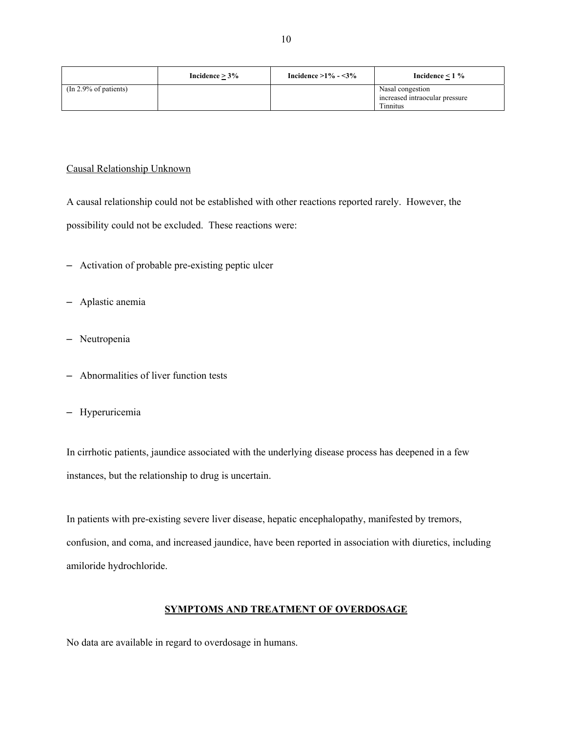|                             | Incidence $> 3\%$ | Incidence $>1\% - 3\%$ | Incidence $\leq 1 \%$                                          |
|-----------------------------|-------------------|------------------------|----------------------------------------------------------------|
| $\pi$ (In 2.9% of patients) |                   |                        | Nasal congestion<br>increased intraocular pressure<br>Tinnitus |

#### Causal Relationship Unknown

A causal relationship could not be established with other reactions reported rarely. However, the possibility could not be excluded. These reactions were:

- Activation of probable pre-existing peptic ulcer
- Aplastic anemia
- Neutropenia
- Abnormalities of liver function tests
- Hyperuricemia

In cirrhotic patients, jaundice associated with the underlying disease process has deepened in a few instances, but the relationship to drug is uncertain.

In patients with pre-existing severe liver disease, hepatic encephalopathy, manifested by tremors, confusion, and coma, and increased jaundice, have been reported in association with diuretics, including amiloride hydrochloride.

## **SYMPTOMS AND TREATMENT OF OVERDOSAGE**

No data are available in regard to overdosage in humans.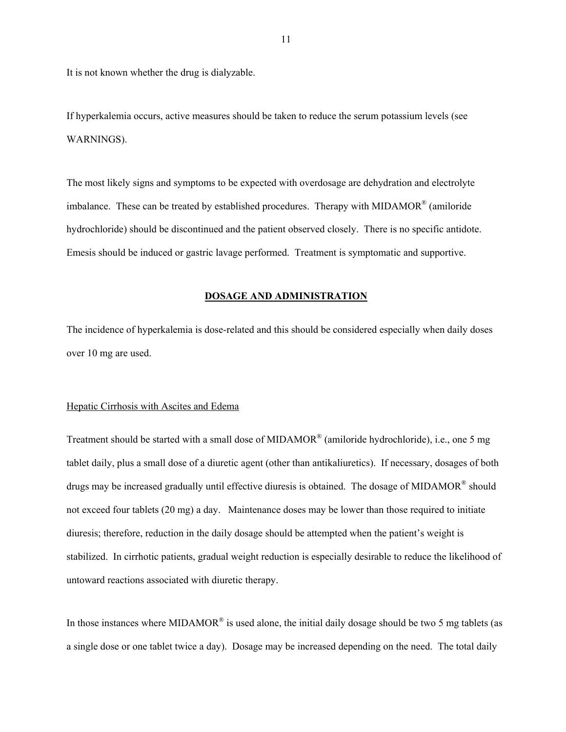It is not known whether the drug is dialyzable.

If hyperkalemia occurs, active measures should be taken to reduce the serum potassium levels (see WARNINGS).

The most likely signs and symptoms to be expected with overdosage are dehydration and electrolyte imbalance. These can be treated by established procedures. Therapy with MIDAMOR® (amiloride hydrochloride) should be discontinued and the patient observed closely. There is no specific antidote. Emesis should be induced or gastric lavage performed. Treatment is symptomatic and supportive.

#### **DOSAGE AND ADMINISTRATION**

The incidence of hyperkalemia is dose-related and this should be considered especially when daily doses over 10 mg are used.

#### Hepatic Cirrhosis with Ascites and Edema

Treatment should be started with a small dose of MIDAMOR® (amiloride hydrochloride), i.e., one 5 mg tablet daily, plus a small dose of a diuretic agent (other than antikaliuretics). If necessary, dosages of both drugs may be increased gradually until effective diuresis is obtained. The dosage of MIDAMOR<sup>®</sup> should not exceed four tablets (20 mg) a day. Maintenance doses may be lower than those required to initiate diuresis; therefore, reduction in the daily dosage should be attempted when the patient's weight is stabilized. In cirrhotic patients, gradual weight reduction is especially desirable to reduce the likelihood of untoward reactions associated with diuretic therapy.

In those instances where MIDAMOR<sup>®</sup> is used alone, the initial daily dosage should be two 5 mg tablets (as a single dose or one tablet twice a day). Dosage may be increased depending on the need. The total daily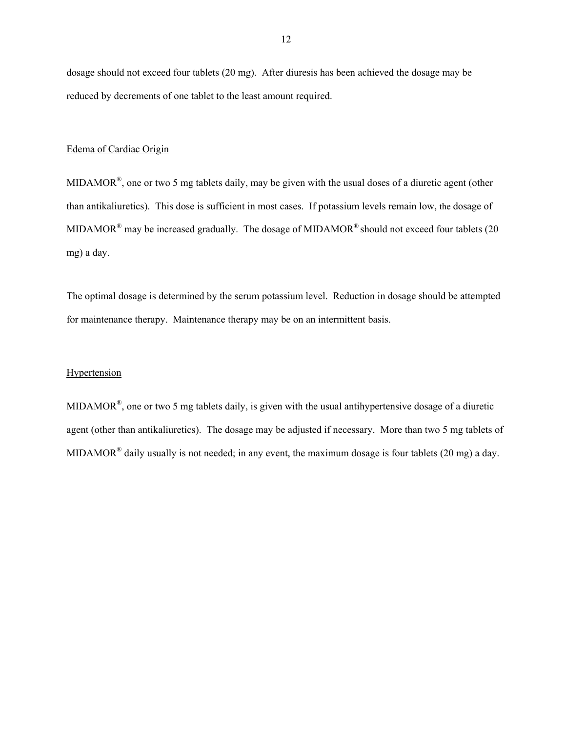dosage should not exceed four tablets (20 mg). After diuresis has been achieved the dosage may be reduced by decrements of one tablet to the least amount required.

#### Edema of Cardiac Origin

MIDAMOR®, one or two 5 mg tablets daily, may be given with the usual doses of a diuretic agent (other than antikaliuretics). This dose is sufficient in most cases. If potassium levels remain low, the dosage of MIDAMOR<sup>®</sup> may be increased gradually. The dosage of MIDAMOR<sup>®</sup> should not exceed four tablets (20 mg) a day.

The optimal dosage is determined by the serum potassium level. Reduction in dosage should be attempted for maintenance therapy. Maintenance therapy may be on an intermittent basis.

#### **Hypertension**

MIDAMOR®, one or two 5 mg tablets daily, is given with the usual antihypertensive dosage of a diuretic agent (other than antikaliuretics). The dosage may be adjusted if necessary. More than two 5 mg tablets of MIDAMOR<sup>®</sup> daily usually is not needed; in any event, the maximum dosage is four tablets (20 mg) a day.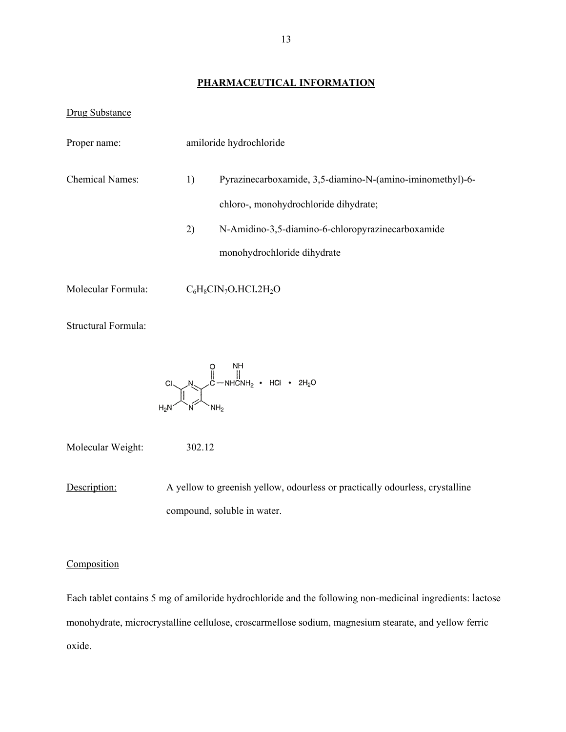## **PHARMACEUTICAL INFORMATION**

#### Drug Substance

| Proper name:           | amiloride hydrochloride |                                                                                                    |  |
|------------------------|-------------------------|----------------------------------------------------------------------------------------------------|--|
| <b>Chemical Names:</b> | 1)                      | Pyrazinecarboxamide, 3,5-diamino-N-(amino-iminomethyl)-6-<br>chloro-, monohydrochloride dihydrate; |  |
|                        | 2)                      | N-Amidino-3,5-diamino-6-chloropyrazinecarboxamide<br>monohydrochloride dihydrate                   |  |
| Molecular Formula:     |                         | $C_6H_8CIN_7O.HCl.2H_2O$                                                                           |  |

Structural Formula:

$$
\begin{array}{ccc}\nC & & \downarrow & \\
C & & \downarrow & \\
C & \uparrow & \downarrow & \\
C & \uparrow & \downarrow & \\
C & \uparrow & \downarrow & \\
C & \uparrow & \downarrow & \\
C & \uparrow & \downarrow & \\
C & \uparrow & \downarrow & \\
C & \uparrow & \downarrow & \\
C & \uparrow & \downarrow & \\
C & \uparrow & \downarrow & \\
C & \uparrow & \downarrow & \\
C & \uparrow & \downarrow & \\
C & \uparrow & \downarrow & \\
C & \uparrow & \downarrow & \\
C & \uparrow & \downarrow & \\
C & \uparrow & \downarrow & \\
C & \uparrow & \downarrow & \\
C & \uparrow & \downarrow & \\
C & \uparrow & \downarrow & \\
C & \uparrow & \downarrow & \\
C & \uparrow & \downarrow & \\
C & \uparrow & \downarrow & \\
C & \uparrow & \downarrow & \\
C & \uparrow & \downarrow & \\
C & \uparrow & \downarrow & \\
C & \uparrow & \downarrow & \\
C & \uparrow & \downarrow & \\
C & \uparrow & \downarrow & \\
C & \uparrow & \downarrow & \\
C & \uparrow & \downarrow & \\
C & \uparrow & \downarrow & \\
C & \uparrow & \downarrow & \\
C & \uparrow & \downarrow & \\
C & \uparrow & \downarrow & \\
C & \uparrow & \downarrow & \\
C & \uparrow & \downarrow & \\
C & \uparrow & \downarrow & \\
C & \uparrow & \downarrow & \\
C & \uparrow & \downarrow & \\
C & \uparrow & \downarrow & \\
C & \uparrow & \downarrow & \\
C & \uparrow & \downarrow & \\
C & \uparrow & \downarrow & \\
C & \uparrow & \downarrow & \\
C & \uparrow & \downarrow & \\
C & \uparrow & \downarrow & \\
C & \uparrow & \downarrow & \\
C & \uparrow & \downarrow & \\
C & \uparrow & \downarrow & \\
C & \uparrow & \downarrow & \\
C & \uparrow & \downarrow & \\
C & \uparrow & \downarrow & \\
C & \uparrow & \downarrow & \\
C & \uparrow & \downarrow & \\
C & \uparrow & \downarrow & \\
C & \uparrow & \downarrow & \\
C & \uparrow & \downarrow & \\
C & \uparrow & \downarrow & \\
C & \uparrow & \downarrow & \\
C & \uparrow & \downarrow & \\
C & \uparrow & \downarrow & \\
C & \uparrow & \downarrow & \\
C & \uparrow & \downarrow & \\
C & \uparrow & \downarrow & \\
C & \uparrow & \downarrow & \\
C & \uparrow & \downarrow & \\
C & \uparrow & \downarrow & \\
C & \uparrow & \downarrow &
$$

Molecular Weight: 302.12

**Description:** A yellow to greenish yellow, odourless or practically odourless, crystalline compound, soluble in water.

#### **Composition**

Each tablet contains 5 mg of amiloride hydrochloride and the following non-medicinal ingredients: lactose monohydrate, microcrystalline cellulose, croscarmellose sodium, magnesium stearate, and yellow ferric oxide.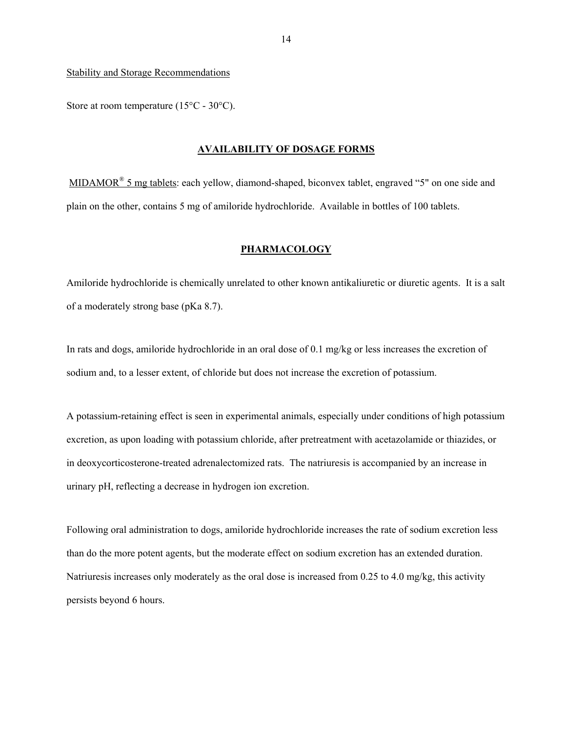Stability and Storage Recommendations

Store at room temperature (15°C - 30°C).

#### **AVAILABILITY OF DOSAGE FORMS**

MIDAMOR<sup>®</sup> 5 mg tablets: each yellow, diamond-shaped, biconvex tablet, engraved "5" on one side and plain on the other, contains 5 mg of amiloride hydrochloride. Available in bottles of 100 tablets.

### **PHARMACOLOGY**

Amiloride hydrochloride is chemically unrelated to other known antikaliuretic or diuretic agents. It is a salt of a moderately strong base (pKa 8.7).

In rats and dogs, amiloride hydrochloride in an oral dose of 0.1 mg/kg or less increases the excretion of sodium and, to a lesser extent, of chloride but does not increase the excretion of potassium.

A potassium-retaining effect is seen in experimental animals, especially under conditions of high potassium excretion, as upon loading with potassium chloride, after pretreatment with acetazolamide or thiazides, or in deoxycorticosterone-treated adrenalectomized rats. The natriuresis is accompanied by an increase in urinary pH, reflecting a decrease in hydrogen ion excretion.

Following oral administration to dogs, amiloride hydrochloride increases the rate of sodium excretion less than do the more potent agents, but the moderate effect on sodium excretion has an extended duration. Natriuresis increases only moderately as the oral dose is increased from 0.25 to 4.0 mg/kg, this activity persists beyond 6 hours.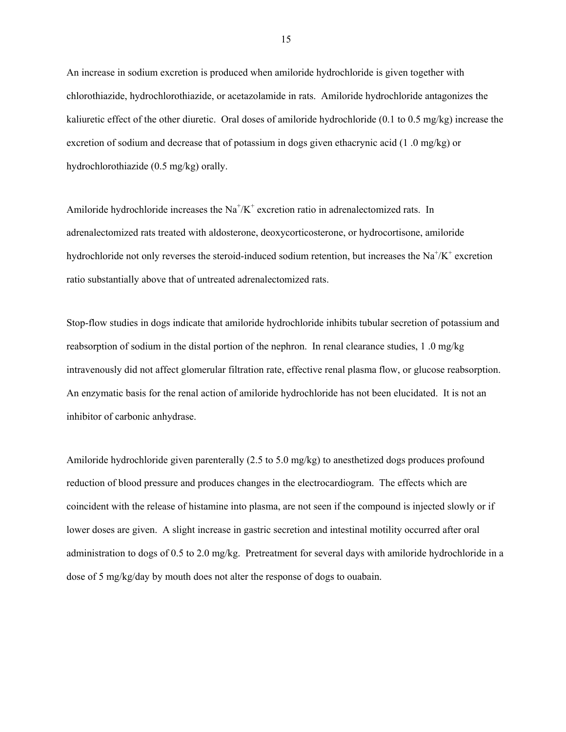An increase in sodium excretion is produced when amiloride hydrochloride is given together with chlorothiazide, hydrochlorothiazide, or acetazolamide in rats. Amiloride hydrochloride antagonizes the kaliuretic effect of the other diuretic. Oral doses of amiloride hydrochloride (0.1 to 0.5 mg/kg) increase the excretion of sodium and decrease that of potassium in dogs given ethacrynic acid (1 .0 mg/kg) or hydrochlorothiazide (0.5 mg/kg) orally.

Amiloride hydrochloride increases the  $Na^+/K^+$  excretion ratio in adrenalectomized rats. In adrenalectomized rats treated with aldosterone, deoxycorticosterone, or hydrocortisone, amiloride hydrochloride not only reverses the steroid-induced sodium retention, but increases the  $Na^{\dagger}/K^{\dagger}$  excretion ratio substantially above that of untreated adrenalectomized rats.

Stop-flow studies in dogs indicate that amiloride hydrochloride inhibits tubular secretion of potassium and reabsorption of sodium in the distal portion of the nephron. In renal clearance studies, 1 .0 mg/kg intravenously did not affect glomerular filtration rate, effective renal plasma flow, or glucose reabsorption. An enzymatic basis for the renal action of amiloride hydrochloride has not been elucidated. It is not an inhibitor of carbonic anhydrase.

Amiloride hydrochloride given parenterally (2.5 to 5.0 mg/kg) to anesthetized dogs produces profound reduction of blood pressure and produces changes in the electrocardiogram. The effects which are coincident with the release of histamine into plasma, are not seen if the compound is injected slowly or if lower doses are given. A slight increase in gastric secretion and intestinal motility occurred after oral administration to dogs of 0.5 to 2.0 mg/kg. Pretreatment for several days with amiloride hydrochloride in a dose of 5 mg/kg/day by mouth does not alter the response of dogs to ouabain.

15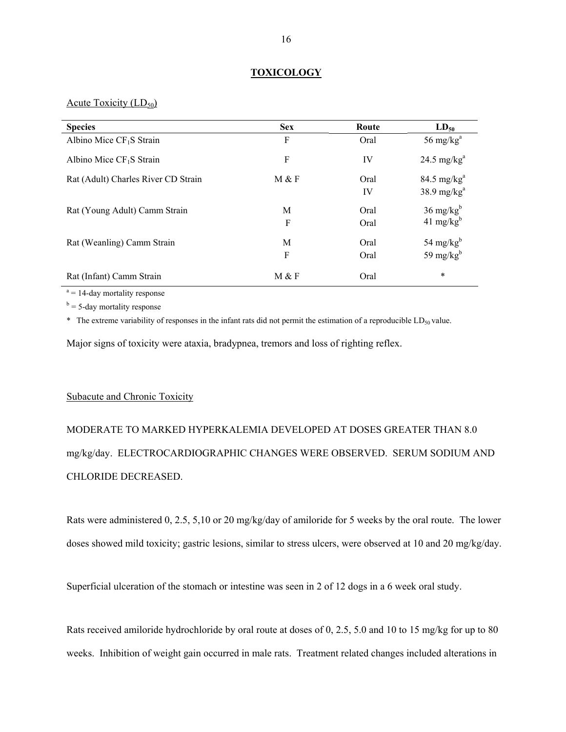#### **TOXICOLOGY**

Acute Toxicity  $(LD_{50})$ 

| <b>Species</b>                      | <b>Sex</b> | Route        | $LD_{50}$                                    |
|-------------------------------------|------------|--------------|----------------------------------------------|
| Albino Mice $CF_1S$ Strain          | F          | Oral         | 56 mg/ $kga$                                 |
| Albino Mice $CF_1S$ Strain          | F          | IV           | 24.5 mg/ $kga$                               |
| Rat (Adult) Charles River CD Strain | M & F      | Oral<br>IV   | $84.5 \text{ mg/kg}^a$<br>$38.9$ mg/ $kga$   |
| Rat (Young Adult) Camm Strain       | М<br>F     | Oral<br>Oral | $36 \text{ mg/kg}^b$<br>$41 \text{ mg/kg}^b$ |
| Rat (Weanling) Camm Strain          | M<br>F     | Oral<br>Oral | 54 mg/ $kgb$<br>59 mg/ $kgb$                 |
| Rat (Infant) Camm Strain            | M & F      | Oral         | $\ast$                                       |

 $a = 14$ -day mortality response

 $b = 5$ -day mortality response

 $*$  The extreme variability of responses in the infant rats did not permit the estimation of a reproducible LD<sub>50</sub> value.

Major signs of toxicity were ataxia, bradypnea, tremors and loss of righting reflex.

### Subacute and Chronic Toxicity

# MODERATE TO MARKED HYPERKALEMIA DEVELOPED AT DOSES GREATER THAN 8.0 mg/kg/day. ELECTROCARDIOGRAPHIC CHANGES WERE OBSERVED. SERUM SODIUM AND CHLORIDE DECREASED.

Rats were administered 0, 2.5, 5,10 or 20 mg/kg/day of amiloride for 5 weeks by the oral route. The lower doses showed mild toxicity; gastric lesions, similar to stress ulcers, were observed at 10 and 20 mg/kg/day.

Superficial ulceration of the stomach or intestine was seen in 2 of 12 dogs in a 6 week oral study.

Rats received amiloride hydrochloride by oral route at doses of 0, 2.5, 5.0 and 10 to 15 mg/kg for up to 80 weeks. Inhibition of weight gain occurred in male rats. Treatment related changes included alterations in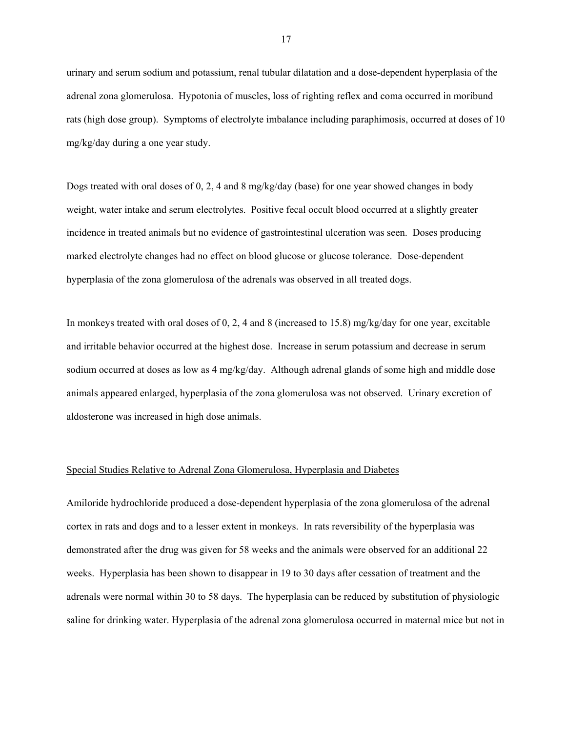urinary and serum sodium and potassium, renal tubular dilatation and a dose-dependent hyperplasia of the adrenal zona glomerulosa. Hypotonia of muscles, loss of righting reflex and coma occurred in moribund rats (high dose group). Symptoms of electrolyte imbalance including paraphimosis, occurred at doses of 10 mg/kg/day during a one year study.

Dogs treated with oral doses of 0, 2, 4 and 8 mg/kg/day (base) for one year showed changes in body weight, water intake and serum electrolytes. Positive fecal occult blood occurred at a slightly greater incidence in treated animals but no evidence of gastrointestinal ulceration was seen. Doses producing marked electrolyte changes had no effect on blood glucose or glucose tolerance. Dose-dependent hyperplasia of the zona glomerulosa of the adrenals was observed in all treated dogs.

In monkeys treated with oral doses of 0, 2, 4 and 8 (increased to 15.8) mg/kg/day for one year, excitable and irritable behavior occurred at the highest dose. Increase in serum potassium and decrease in serum sodium occurred at doses as low as 4 mg/kg/day. Although adrenal glands of some high and middle dose animals appeared enlarged, hyperplasia of the zona glomerulosa was not observed. Urinary excretion of aldosterone was increased in high dose animals.

#### Special Studies Relative to Adrenal Zona Glomerulosa, Hyperplasia and Diabetes

Amiloride hydrochloride produced a dose-dependent hyperplasia of the zona glomerulosa of the adrenal cortex in rats and dogs and to a lesser extent in monkeys. In rats reversibility of the hyperplasia was demonstrated after the drug was given for 58 weeks and the animals were observed for an additional 22 weeks. Hyperplasia has been shown to disappear in 19 to 30 days after cessation of treatment and the adrenals were normal within 30 to 58 days. The hyperplasia can be reduced by substitution of physiologic saline for drinking water. Hyperplasia of the adrenal zona glomerulosa occurred in maternal mice but not in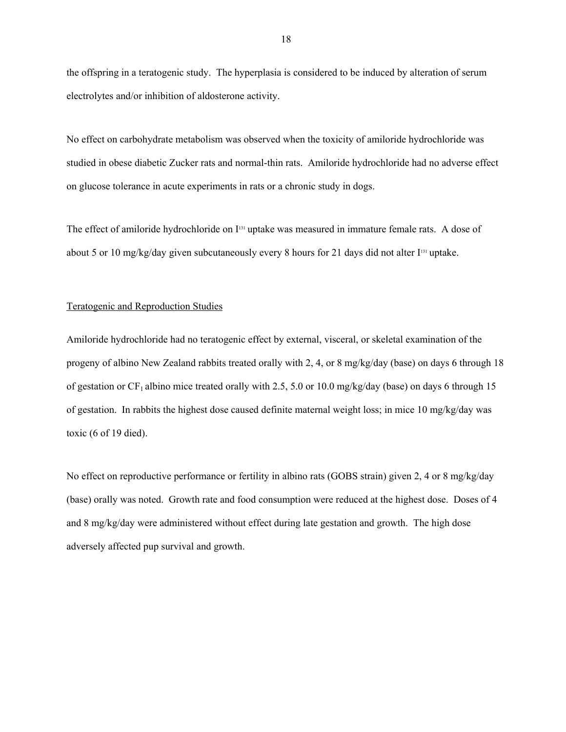the offspring in a teratogenic study. The hyperplasia is considered to be induced by alteration of serum electrolytes and/or inhibition of aldosterone activity.

No effect on carbohydrate metabolism was observed when the toxicity of amiloride hydrochloride was studied in obese diabetic Zucker rats and normal-thin rats. Amiloride hydrochloride had no adverse effect on glucose tolerance in acute experiments in rats or a chronic study in dogs.

The effect of amiloride hydrochloride on I<sup>131</sup> uptake was measured in immature female rats. A dose of about 5 or 10 mg/kg/day given subcutaneously every 8 hours for 21 days did not alter  $I<sup>131</sup>$  uptake.

#### Teratogenic and Reproduction Studies

Amiloride hydrochloride had no teratogenic effect by external, visceral, or skeletal examination of the progeny of albino New Zealand rabbits treated orally with 2, 4, or 8 mg/kg/day (base) on days 6 through 18 of gestation or  $CF_1$  albino mice treated orally with 2.5, 5.0 or 10.0 mg/kg/day (base) on days 6 through 15 of gestation. In rabbits the highest dose caused definite maternal weight loss; in mice 10 mg/kg/day was toxic (6 of 19 died).

No effect on reproductive performance or fertility in albino rats (GOBS strain) given 2, 4 or 8 mg/kg/day (base) orally was noted. Growth rate and food consumption were reduced at the highest dose. Doses of 4 and 8 mg/kg/day were administered without effect during late gestation and growth. The high dose adversely affected pup survival and growth.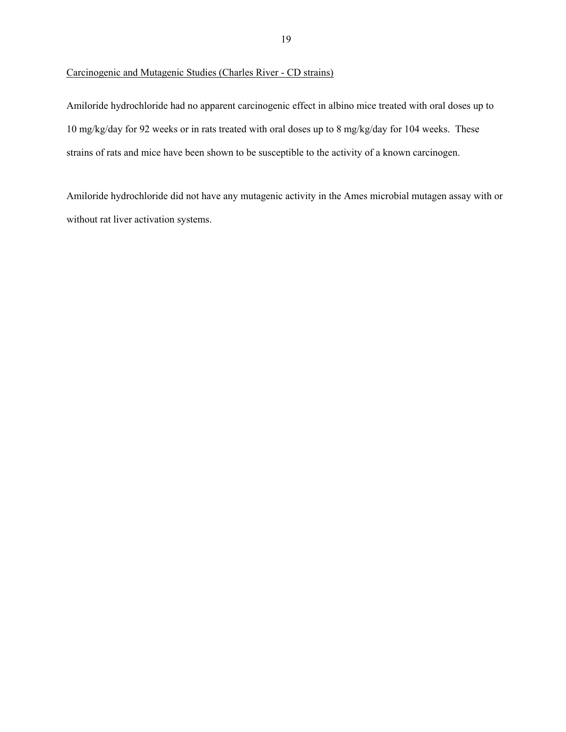## Carcinogenic and Mutagenic Studies (Charles River - CD strains)

Amiloride hydrochloride had no apparent carcinogenic effect in albino mice treated with oral doses up to 10 mg/kg/day for 92 weeks or in rats treated with oral doses up to 8 mg/kg/day for 104 weeks. These strains of rats and mice have been shown to be susceptible to the activity of a known carcinogen.

Amiloride hydrochloride did not have any mutagenic activity in the Ames microbial mutagen assay with or without rat liver activation systems.